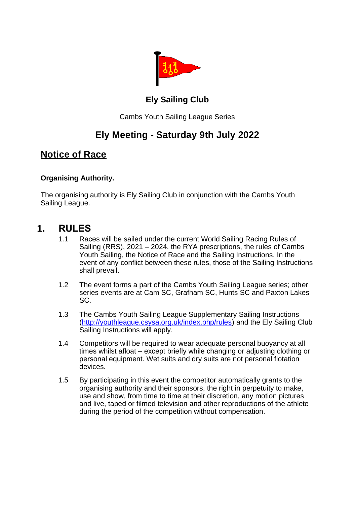

#### **Ely Sailing Club**

Cambs Youth Sailing League Series

# **Ely Meeting - Saturday 9th July 2022**

#### **Notice of Race**

#### **Organising Authority.**

The organising authority is Ely Sailing Club in conjunction with the Cambs Youth Sailing League.

#### **1. RULES**

- 1.1 Races will be sailed under the current World Sailing Racing Rules of Sailing (RRS), 2021 – 2024, the RYA prescriptions, the rules of Cambs Youth Sailing, the Notice of Race and the Sailing Instructions. In the event of any conflict between these rules, those of the Sailing Instructions shall prevail.
- 1.2 The event forms a part of the Cambs Youth Sailing League series; other series events are at Cam SC, Grafham SC, Hunts SC and Paxton Lakes SC.
- 1.3 The Cambs Youth Sailing League Supplementary Sailing Instructions [\(http://youthleague.csysa.org.uk/index.php/rules\)](http://youthleague.csysa.org.uk/index.php/rules) and the Ely Sailing Club Sailing Instructions will apply.
- 1.4 Competitors will be required to wear adequate personal buoyancy at all times whilst afloat – except briefly while changing or adjusting clothing or personal equipment. Wet suits and dry suits are not personal flotation devices.
- 1.5 By participating in this event the competitor automatically grants to the organising authority and their sponsors, the right in perpetuity to make, use and show, from time to time at their discretion, any motion pictures and live, taped or filmed television and other reproductions of the athlete during the period of the competition without compensation.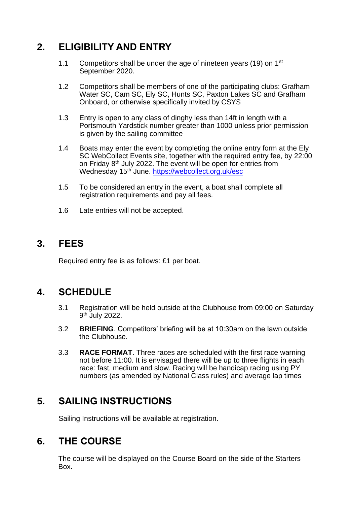# **2. ELIGIBILITY AND ENTRY**

- 1.1 Competitors shall be under the age of nineteen years (19) on 1<sup>st</sup> September 2020.
- 1.2 Competitors shall be members of one of the participating clubs: Grafham Water SC, Cam SC, Ely SC, Hunts SC, Paxton Lakes SC and Grafham Onboard, or otherwise specifically invited by CSYS
- 1.3 Entry is open to any class of dinghy less than 14ft in length with a Portsmouth Yardstick number greater than 1000 unless prior permission is given by the sailing committee
- 1.4 Boats may enter the event by completing the online entry form at the Ely SC WebCollect Events site, together with the required entry fee, by 22:00 on Friday 8<sup>th</sup> July 2022. The event will be open for entries from Wednesday 15<sup>th</sup> June.<https://webcollect.org.uk/esc>
- 1.5 To be considered an entry in the event, a boat shall complete all registration requirements and pay all fees.
- 1.6 Late entries will not be accepted.

# **3. FEES**

Required entry fee is as follows: £1 per boat.

# **4. SCHEDULE**

- 3.1 Registration will be held outside at the Clubhouse from 09:00 on Saturday 9<sup>th</sup> July 2022.
- 3.2 **BRIEFING**. Competitors' briefing will be at 10:30am on the lawn outside the Clubhouse.
- 3.3 **RACE FORMAT**. Three races are scheduled with the first race warning not before 11:00. It is envisaged there will be up to three flights in each race: fast, medium and slow. Racing will be handicap racing using PY numbers (as amended by National Class rules) and average lap times

# **5. SAILING INSTRUCTIONS**

Sailing Instructions will be available at registration.

#### **6. THE COURSE**

The course will be displayed on the Course Board on the side of the Starters Box.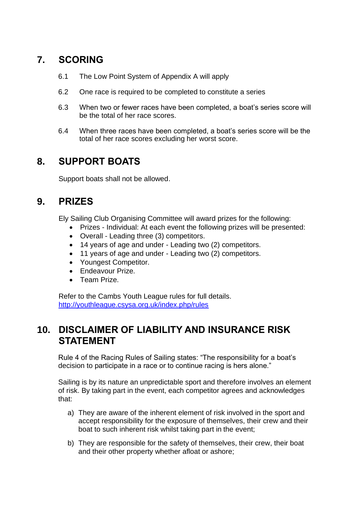# **7. SCORING**

- 6.1 The Low Point System of Appendix A will apply
- 6.2 One race is required to be completed to constitute a series
- 6.3 When two or fewer races have been completed, a boat's series score will be the total of her race scores.
- 6.4 When three races have been completed, a boat's series score will be the total of her race scores excluding her worst score.

# **8. SUPPORT BOATS**

Support boats shall not be allowed.

# **9. PRIZES**

Ely Sailing Club Organising Committee will award prizes for the following:

- Prizes Individual: At each event the following prizes will be presented:
- Overall Leading three (3) competitors.
- 14 years of age and under Leading two (2) competitors.
- 11 years of age and under Leading two (2) competitors.
- Youngest Competitor.
- Endeavour Prize.
- Team Prize.

Refer to the Cambs Youth League rules for full details. <http://youthleague.csysa.org.uk/index.php/rules>

# **10. DISCLAIMER OF LIABILITY AND INSURANCE RISK STATEMENT**

Rule 4 of the Racing Rules of Sailing states: "The responsibility for a boat's decision to participate in a race or to continue racing is hers alone."

Sailing is by its nature an unpredictable sport and therefore involves an element of risk. By taking part in the event, each competitor agrees and acknowledges that:

- a) They are aware of the inherent element of risk involved in the sport and accept responsibility for the exposure of themselves, their crew and their boat to such inherent risk whilst taking part in the event;
- b) They are responsible for the safety of themselves, their crew, their boat and their other property whether afloat or ashore;